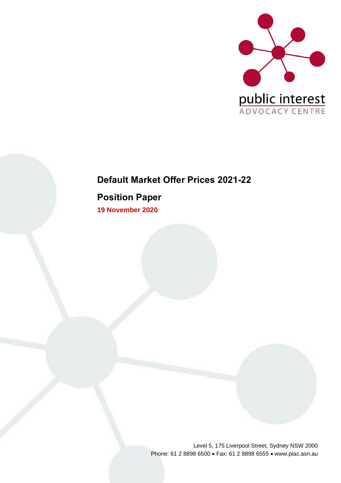

## **Default Market Offer Prices 2021-22**

**Position Paper**

**19 November 2020**

Level 5, 175 Liverpool Street, Sydney NSW 2000 Phone: 61 2 8898 6500 • Fax: 61 2 8898 6555 • www.piac.asn.au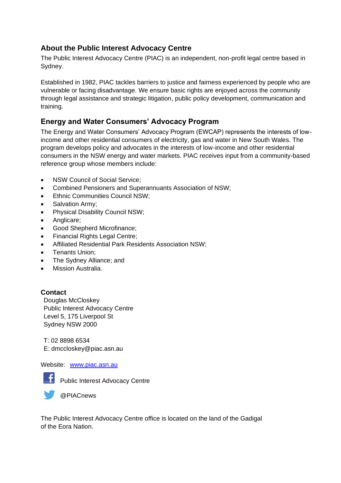## **About the Public Interest Advocacy Centre**

The Public Interest Advocacy Centre (PIAC) is an independent, non-profit legal centre based in Sydney.

Established in 1982, PIAC tackles barriers to justice and fairness experienced by people who are vulnerable or facing disadvantage. We ensure basic rights are enjoyed across the community through legal assistance and strategic litigation, public policy development, communication and training.

## **Energy and Water Consumers' Advocacy Program**

The Energy and Water Consumers' Advocacy Program (EWCAP) represents the interests of lowincome and other residential consumers of electricity, gas and water in New South Wales. The program develops policy and advocates in the interests of low-income and other residential consumers in the NSW energy and water markets. PIAC receives input from a community-based reference group whose members include:

- NSW Council of Social Service:
- Combined Pensioners and Superannuants Association of NSW;
- Ethnic Communities Council NSW;
- Salvation Army;
- Physical Disability Council NSW;
- Anglicare;
- Good Shepherd Microfinance;
- Financial Rights Legal Centre;
- Affiliated Residential Park Residents Association NSW;
- Tenants Union;
- The Sydney Alliance; and
- Mission Australia.

### **Contact**

Douglas McCloskey Public Interest Advocacy Centre Level 5, 175 Liverpool St Sydney NSW 2000

T: 02 8898 6534 E: dmccloskey@piac.asn.au

### Website: [www.piac.asn.au](http://www.piac.asn.au/)



**F** Public Interest Advocacy Centre

@PIACnews

The Public Interest Advocacy Centre office is located on the land of the Gadigal of the Eora Nation.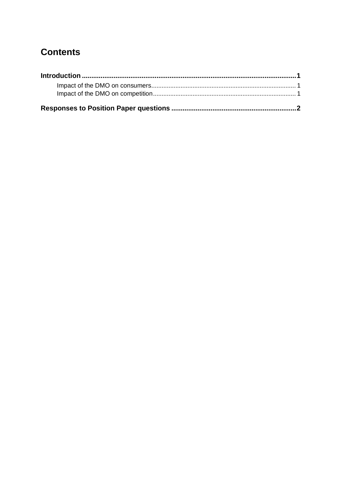# **Contents**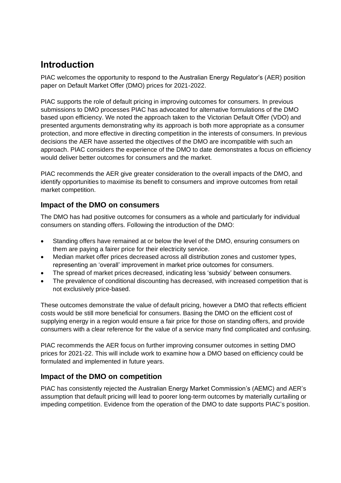# <span id="page-4-0"></span>**Introduction**

PIAC welcomes the opportunity to respond to the Australian Energy Regulator's (AER) position paper on Default Market Offer (DMO) prices for 2021-2022.

PIAC supports the role of default pricing in improving outcomes for consumers. In previous submissions to DMO processes PIAC has advocated for alternative formulations of the DMO based upon efficiency. We noted the approach taken to the Victorian Default Offer (VDO) and presented arguments demonstrating why its approach is both more appropriate as a consumer protection, and more effective in directing competition in the interests of consumers. In previous decisions the AER have asserted the objectives of the DMO are incompatible with such an approach. PIAC considers the experience of the DMO to date demonstrates a focus on efficiency would deliver better outcomes for consumers and the market.

PIAC recommends the AER give greater consideration to the overall impacts of the DMO, and identify opportunities to maximise its benefit to consumers and improve outcomes from retail market competition.

## <span id="page-4-1"></span>**Impact of the DMO on consumers**

The DMO has had positive outcomes for consumers as a whole and particularly for individual consumers on standing offers. Following the introduction of the DMO:

- Standing offers have remained at or below the level of the DMO, ensuring consumers on them are paying a fairer price for their electricity service.
- Median market offer prices decreased across all distribution zones and customer types, representing an 'overall' improvement in market price outcomes for consumers.
- The spread of market prices decreased, indicating less 'subsidy' between consumers.
- The prevalence of conditional discounting has decreased, with increased competition that is not exclusively price-based.

These outcomes demonstrate the value of default pricing, however a DMO that reflects efficient costs would be still more beneficial for consumers. Basing the DMO on the efficient cost of supplying energy in a region would ensure a fair price for those on standing offers, and provide consumers with a clear reference for the value of a service many find complicated and confusing.

PIAC recommends the AER focus on further improving consumer outcomes in setting DMO prices for 2021-22. This will include work to examine how a DMO based on efficiency could be formulated and implemented in future years.

## <span id="page-4-2"></span>**Impact of the DMO on competition**

PIAC has consistently rejected the Australian Energy Market Commission's (AEMC) and AER's assumption that default pricing will lead to poorer long-term outcomes by materially curtailing or impeding competition. Evidence from the operation of the DMO to date supports PIAC's position.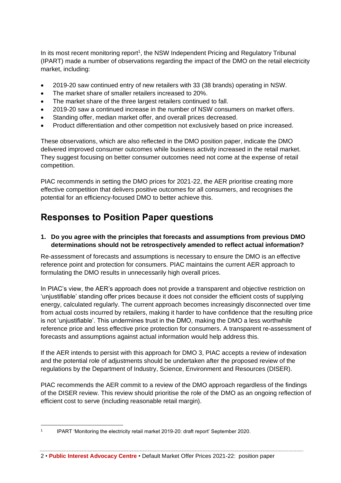In its most recent monitoring report<sup>1</sup>, the NSW Independent Pricing and Regulatory Tribunal (IPART) made a number of observations regarding the impact of the DMO on the retail electricity market, including:

- 2019-20 saw continued entry of new retailers with 33 (38 brands) operating in NSW.
- The market share of smaller retailers increased to 20%.
- The market share of the three largest retailers continued to fall.
- 2019-20 saw a continued increase in the number of NSW consumers on market offers.
- Standing offer, median market offer, and overall prices decreased.
- Product differentiation and other competition not exclusively based on price increased.

These observations, which are also reflected in the DMO position paper, indicate the DMO delivered improved consumer outcomes while business activity increased in the retail market. They suggest focusing on better consumer outcomes need not come at the expense of retail competition.

PIAC recommends in setting the DMO prices for 2021-22, the AER prioritise creating more effective competition that delivers positive outcomes for all consumers, and recognises the potential for an efficiency-focused DMO to better achieve this.

## <span id="page-5-0"></span>**Responses to Position Paper questions**

### **1. Do you agree with the principles that forecasts and assumptions from previous DMO determinations should not be retrospectively amended to reflect actual information?**

Re-assessment of forecasts and assumptions is necessary to ensure the DMO is an effective reference point and protection for consumers. PIAC maintains the current AER approach to formulating the DMO results in unnecessarily high overall prices.

In PIAC's view, the AER's approach does not provide a transparent and objective restriction on 'unjustifiable' standing offer prices because it does not consider the efficient costs of supplying energy, calculated regularly. The current approach becomes increasingly disconnected over time from actual costs incurred by retailers, making it harder to have confidence that the resulting price is not 'unjustifiable'. This undermines trust in the DMO, making the DMO a less worthwhile reference price and less effective price protection for consumers. A transparent re-assessment of forecasts and assumptions against actual information would help address this.

If the AER intends to persist with this approach for DMO 3, PIAC accepts a review of indexation and the potential role of adjustments should be undertaken after the proposed review of the regulations by the Department of Industry, Science, Environment and Resources (DISER).

PIAC recommends the AER commit to a review of the DMO approach regardless of the findings of the DISER review. This review should prioritise the role of the DMO as an ongoing reflection of efficient cost to serve (including reasonable retail margin).

<sup>1</sup> IPART 'Monitoring the electricity retail market 2019-20: draft report' September 2020.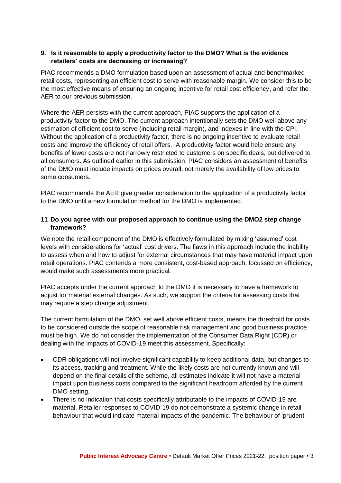#### **9. Is it reasonable to apply a productivity factor to the DMO? What is the evidence retailers' costs are decreasing or increasing?**

PIAC recommends a DMO formulation based upon an assessment of actual and benchmarked retail costs, representing an efficient cost to serve with reasonable margin. We consider this to be the most effective means of ensuring an ongoing incentive for retail cost efficiency, and refer the AER to our previous submission.

Where the AER persists with the current approach, PIAC supports the application of a productivity factor to the DMO. The current approach intentionally sets the DMO well above any estimation of efficient cost to serve (including retail margin), and indexes in line with the CPI. Without the application of a productivity factor, there is no ongoing incentive to evaluate retail costs and improve the efficiency of retail offers. A productivity factor would help ensure any benefits of lower costs are not narrowly restricted to customers on specific deals, but delivered to all consumers. As outlined earlier in this submission, PIAC considers an assessment of benefits of the DMO must include impacts on prices overall, not merely the availability of low prices to some consumers.

PIAC recommends the AER give greater consideration to the application of a productivity factor to the DMO until a new formulation method for the DMO is implemented.

### **11 Do you agree with our proposed approach to continue using the DMO2 step change framework?**

We note the retail component of the DMO is effectively formulated by mixing 'assumed' cost levels with considerations for 'actual' cost drivers. The flaws in this approach include the inability to assess when and how to adjust for external circumstances that may have material impact upon retail operations. PIAC contends a more consistent, cost-based approach, focussed on efficiency, would make such assessments more practical.

PIAC accepts under the current approach to the DMO it is necessary to have a framework to adjust for material external changes. As such, we support the criteria for assessing costs that may require a step change adjustment.

The current formulation of the DMO, set well above efficient costs, means the threshold for costs to be considered outside the scope of reasonable risk management and good business practice must be high. We do not consider the implementation of the Consumer Data Right (CDR) or dealing with the impacts of COVID-19 meet this assessment. Specifically:

- CDR obligations will not involve significant capability to keep additional data, but changes to its access, tracking and treatment. While the likely costs are not currently known and will depend on the final details of the scheme, all estimates indicate it will not have a material impact upon business costs compared to the significant headroom afforded by the current DMO setting.
- There is no indication that costs specifically attributable to the impacts of COVID-19 are material. Retailer responses to COVID-19 do not demonstrate a systemic change in retail behaviour that would indicate material impacts of the pandemic. The behaviour of 'prudent'